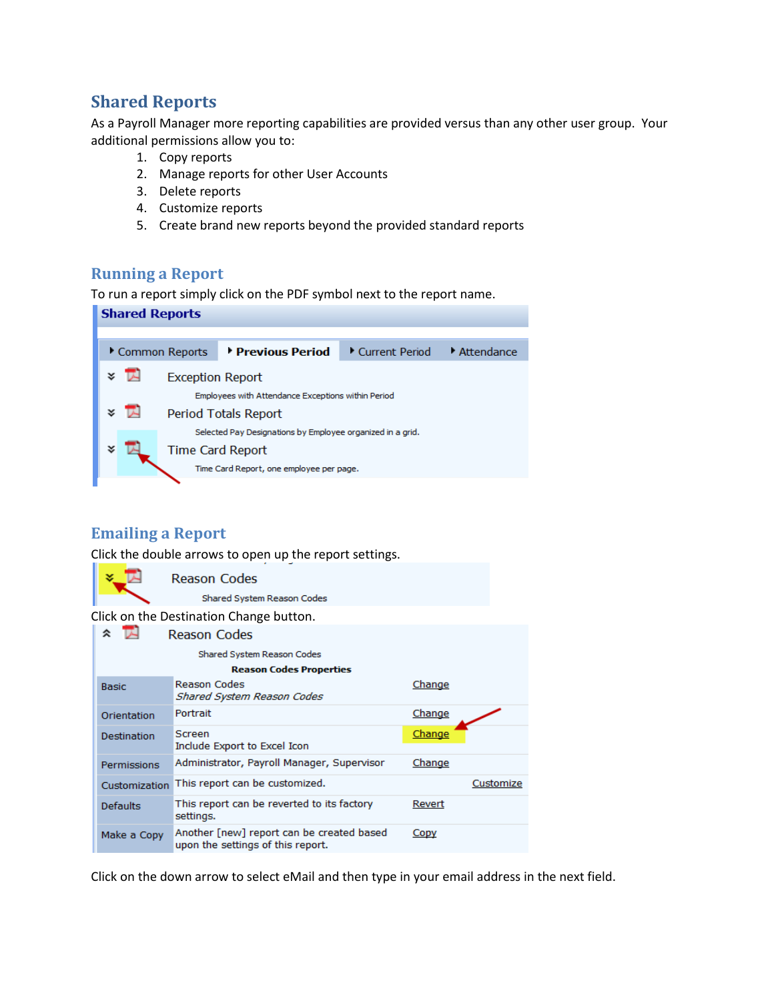# **Shared Reports**

As a Payroll Manager more reporting capabilities are provided versus than any other user group. Your additional permissions allow you to:

- 1. Copy reports
- 2. Manage reports for other User Accounts
- 3. Delete reports
- 4. Customize reports
- 5. Create brand new reports beyond the provided standard reports

#### **Running a Report**

To run a report simply click on the PDF symbol next to the report name.

| <b>Shared Reports</b> |                                     |                         |                                                            |                |                                  |
|-----------------------|-------------------------------------|-------------------------|------------------------------------------------------------|----------------|----------------------------------|
|                       |                                     |                         |                                                            |                |                                  |
|                       |                                     | Common Reports          | <b>E</b> Previous Period                                   | Current Period | $\blacktriangleright$ Attendance |
|                       | x T                                 | <b>Exception Report</b> | Employees with Attendance Exceptions within Period         |                |                                  |
|                       | <b>x</b> IN<br>Period Totals Report |                         |                                                            |                |                                  |
|                       |                                     |                         | Selected Pay Designations by Employee organized in a grid. |                |                                  |
|                       |                                     | <b>Time Card Report</b> |                                                            |                |                                  |
|                       |                                     |                         | Time Card Report, one employee per page.                   |                |                                  |
|                       |                                     |                         |                                                            |                |                                  |

### **Emailing a Report**

Click the double arrows to open up the report settings.

|                          | Reason Codes                                                                   |        |           |  |
|--------------------------|--------------------------------------------------------------------------------|--------|-----------|--|
|                          | Shared System Reason Codes                                                     |        |           |  |
|                          | Click on the Destination Change button.                                        |        |           |  |
| TA.<br>仌<br>Reason Codes |                                                                                |        |           |  |
|                          | Shared System Reason Codes                                                     |        |           |  |
|                          | <b>Reason Codes Properties</b>                                                 |        |           |  |
| <b>Basic</b>             | Reason Codes<br>Shared System Reason Codes                                     | Change |           |  |
| Orientation              | Portrait                                                                       | Change |           |  |
| Destination              | Screen<br>Include Export to Excel Icon                                         | Change |           |  |
| Permissions              | Administrator, Payroll Manager, Supervisor                                     | Change |           |  |
| Customization            | This report can be customized.                                                 |        | Customize |  |
| <b>Defaults</b>          | This report can be reverted to its factory<br>settings.                        | Revert |           |  |
| Make a Copy              | Another [new] report can be created based<br>upon the settings of this report. | Copy   |           |  |
|                          |                                                                                |        |           |  |

Click on the down arrow to select eMail and then type in your email address in the next field.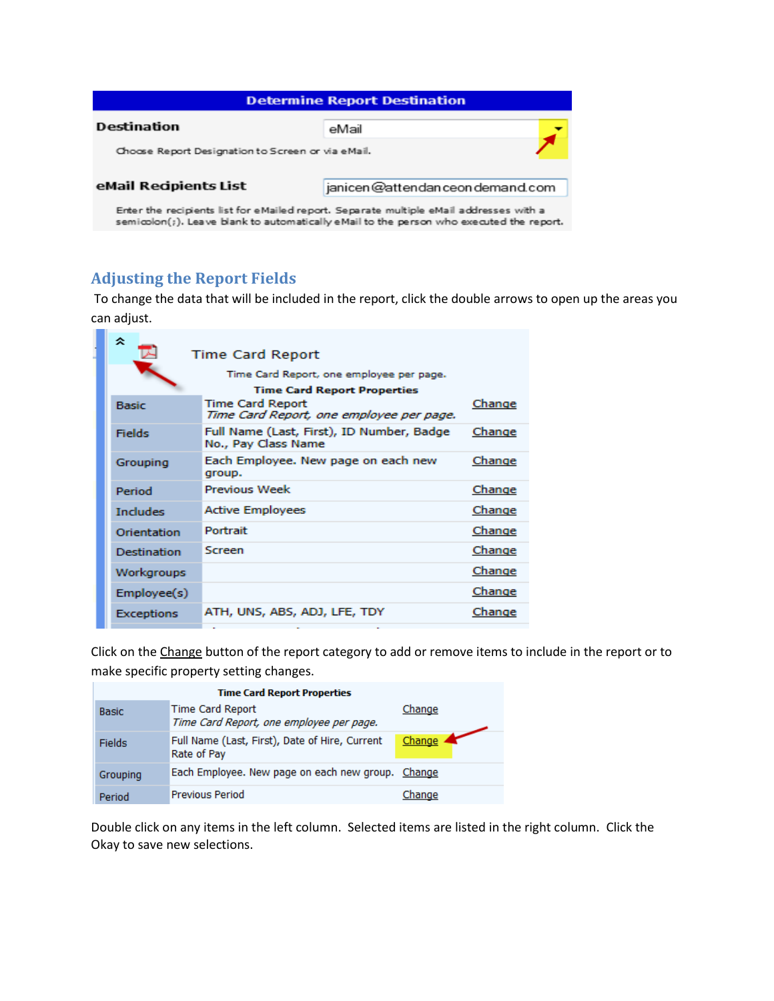| <b>Determine Report Destination</b>                                                    |  |  |
|----------------------------------------------------------------------------------------|--|--|
| Destination<br>eMail                                                                   |  |  |
| Choose Report Designation to Screen or via eMail.                                      |  |  |
| eMail Recipients List<br>janicen@attendanceondemand.com                                |  |  |
| Enter the recipients list for eMailed report. Separate multiple eMail addresses with a |  |  |

semicolon(;). Leave blank to automatically eMail to the person who executed the report.

# **Adjusting the Report Fields**

To change the data that will be included in the report, click the double arrows to open up the areas you can adjust.

| °                  | <b>Time Card Report</b>                                                        |        |
|--------------------|--------------------------------------------------------------------------------|--------|
|                    | Time Card Report, one employee per page.<br><b>Time Card Report Properties</b> |        |
| <b>Basic</b>       | <b>Time Card Report</b><br>Time Card Report, one employee per page.            | Change |
| Fields             | Full Name (Last, First), ID Number, Badge<br>No., Pay Class Name               | Change |
| Grouping           | Each Employee. New page on each new<br>group.                                  | Change |
| Period             | Previous Week                                                                  | Change |
| <b>Includes</b>    | <b>Active Employees</b>                                                        | Change |
| Orientation        | Portrait                                                                       | Change |
| <b>Destination</b> | Screen                                                                         | Change |
| Workgroups         |                                                                                | Change |
| Employee(s)        |                                                                                | Change |
| <b>Exceptions</b>  | ATH, UNS, ABS, ADJ, LFE, TDY                                                   | Change |
|                    |                                                                                |        |

Click on the Change button of the report category to add or remove items to include in the report or to make specific property setting changes.

| <b>Time Card Report Properties</b> |                                                                     |        |  |
|------------------------------------|---------------------------------------------------------------------|--------|--|
| <b>Basic</b>                       | <b>Time Card Report</b><br>Time Card Report, one employee per page. | Change |  |
| Fields                             | Full Name (Last, First), Date of Hire, Current<br>Rate of Pay       | Change |  |
| Grouping                           | Each Employee. New page on each new group. Change                   |        |  |
| Period                             | <b>Previous Period</b>                                              | Change |  |

Double click on any items in the left column. Selected items are listed in the right column. Click the Okay to save new selections.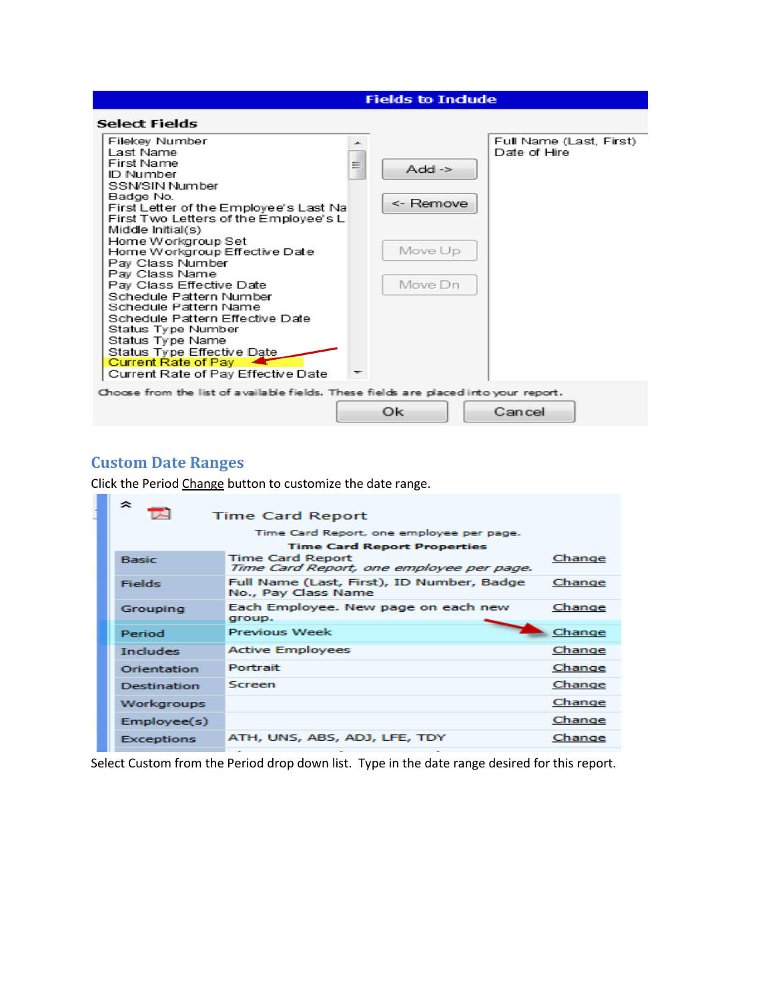#### **Fields to Indude**



#### **Custom Date Ranges**

Click the Period Change button to customize the date range.

| °<br><b>Time Card Report</b> |                                                                     |        |  |  |
|------------------------------|---------------------------------------------------------------------|--------|--|--|
|                              | Time Card Report, one employee per page.                            |        |  |  |
|                              | <b>Time Card Report Properties</b>                                  |        |  |  |
| <b>Basic</b>                 | <b>Time Card Report</b><br>Time Card Report, one employee per page. | Change |  |  |
| <b>Fields</b>                | Full Name (Last, First), ID Number, Badge<br>No., Pay Class Name    | Change |  |  |
| Grouping                     | Each Employee. New page on each new<br>group.                       | Change |  |  |
| Period                       | <b>Previous Week</b>                                                | Change |  |  |
| <b>Includes</b>              | <b>Active Employees</b>                                             | Change |  |  |
| Orientation                  | Portrait                                                            | Change |  |  |
| <b>Destination</b>           | Screen                                                              | Change |  |  |
| Workgroups                   |                                                                     | Change |  |  |
| Emplovec(s)                  |                                                                     | Change |  |  |
| <b>Exceptions</b>            | ATH, UNS, ABS, ADJ, LFE, TDY                                        | Change |  |  |

Select Custom from the Period drop down list. Type in the date range desired for this report.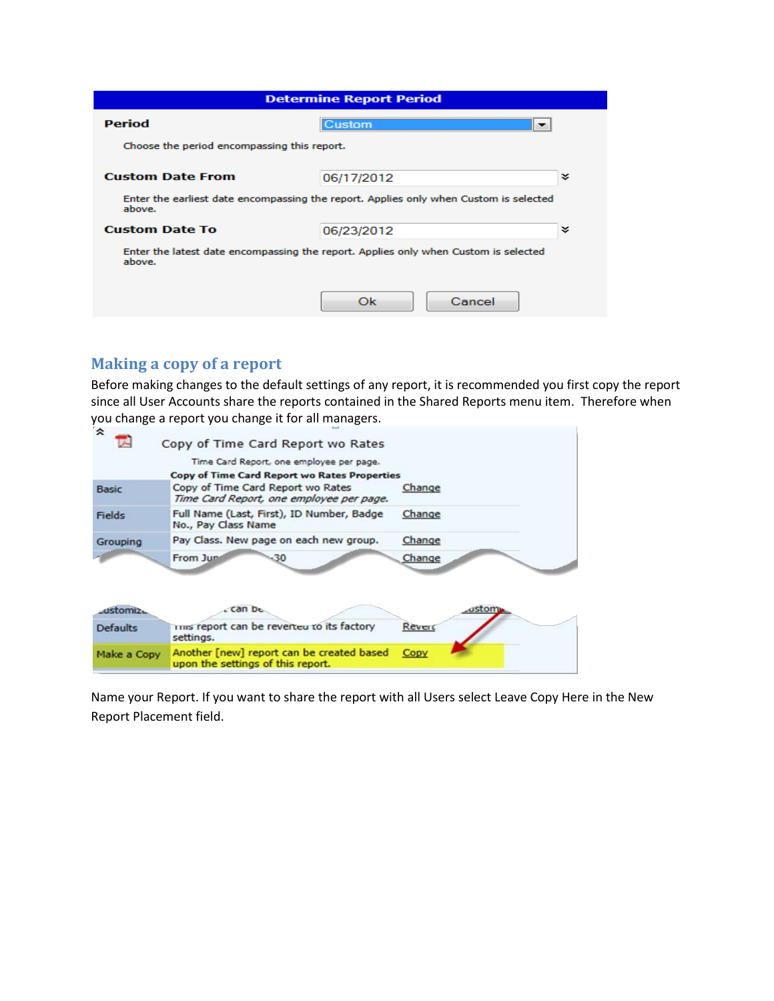| <b>Determine Report Period</b>              |                                                                                       |   |
|---------------------------------------------|---------------------------------------------------------------------------------------|---|
| Period                                      | Custom                                                                                |   |
| Choose the period encompassing this report. |                                                                                       |   |
| <b>Custom Date From</b><br>06/17/2012       |                                                                                       |   |
| above.                                      | Enter the earliest date encompassing the report. Applies only when Custom is selected |   |
| <b>Custom Date To</b>                       | 06/23/2012                                                                            | ¥ |
| above.                                      | Enter the latest date encompassing the report. Applies only when Custom is selected   |   |
|                                             | Cancel<br>Ok                                                                          |   |

## **Making a copy of a report**

Before making changes to the default settings of any report, it is recommended you first copy the report since all User Accounts share the reports contained in the Shared Reports menu item. Therefore when you change a report you change it for all managers.

| ∞               | Copy of Time Card Report wo Rates                                              |        |
|-----------------|--------------------------------------------------------------------------------|--------|
|                 | Time Card Report, one employee per page.                                       |        |
|                 | <b>Copy of Time Card Report wo Rates Properties</b>                            |        |
| <b>Basic</b>    | Copy of Time Card Report wo Rates<br>Time Card Report, one employee per page.  | Change |
| Fields          | Full Name (Last, First), ID Number, Badge<br>No., Pay Class Name               | Change |
| Grouping        | Pay Class. New page on each new group.                                         | Change |
|                 | From Jun<br>-30                                                                | Change |
|                 |                                                                                |        |
| ustomiz.        | Can be                                                                         | ıstom  |
|                 |                                                                                |        |
| <b>Defaults</b> | trus report can be reverted to its factory<br>settings.                        | Reverd |
| Make a Copy     | Another [new] report can be created based<br>upon the settings of this report. | Copy   |

Name your Report. If you want to share the report with all Users select Leave Copy Here in the New Report Placement field.